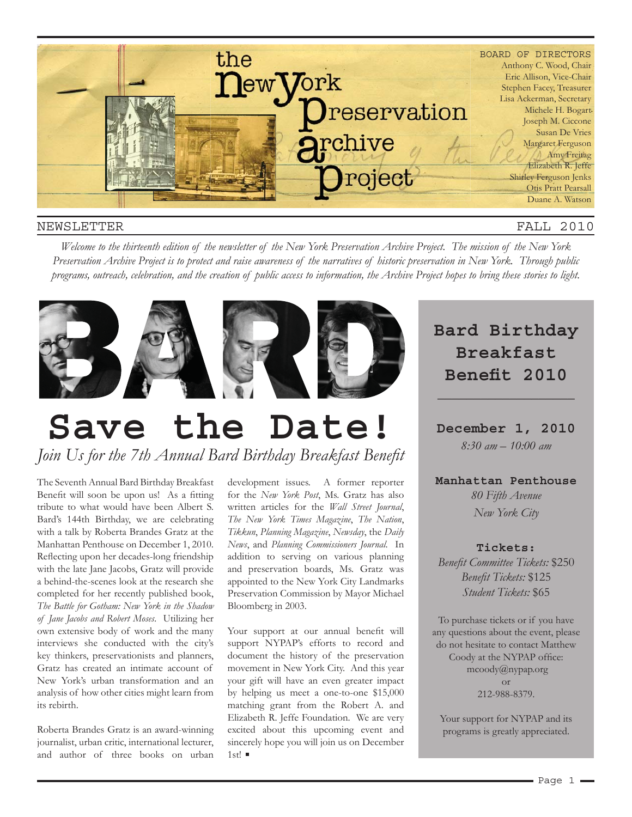

#### NEWSLETTER

FALL 2010

*Welcome to the thirteenth edition of the newsletter of the New York Preservation Archive Project. The mission of the New York Preservation Archive Project is to protect and raise awareness of the narratives of historic preservation in New York. Through public programs, outreach, celebration, and the creation of public access to information, the Archive Project hopes to bring these stories to light.* 



# **Save the Date!**

Join Us for the 7th Annual Bard Birthday Breakfast Benefit

The Seventh Annual Bard Birthday Breakfast Benefit will soon be upon us! As a fitting tribute to what would have been Albert S. Bard's 144th Birthday, we are celebrating with a talk by Roberta Brandes Gratz at the Manhattan Penthouse on December 1, 2010. with the late Jane Jacobs, Gratz will provide a behind-the-scenes look at the research she completed for her recently published book, *The Battle for Gotham: New York in the Shadow of Jane Jacobs and Robert Moses*. Utilizing her own extensive body of work and the many interviews she conducted with the city's key thinkers, preservationists and planners, Gratz has created an intimate account of New York's urban transformation and an analysis of how other cities might learn from its rebirth.

Roberta Brandes Gratz is an award-winning journalist, urban critic, international lecturer, and author of three books on urban

Reflecting upon her decades-long friendship addition to serving on various planning development issues. A former reporter for the *New York Post*, Ms. Gratz has also written articles for the *Wall Street Journal*, *The New York Times Magazine*, *The Nation*, *Tikkun*, *Planning Magazine*, *Newsday*, the *Daily News*, and *Planning Commissioners Journal*. In addition to serving on various planning and preservation boards, Ms. Gratz was appointed to the New York City Landmarks Preservation Commission by Mayor Michael Bloomberg in 2003.

> Your support at our annual benefit will support NYPAP's efforts to record and document the history of the preservation movement in New York City. And this year your gift will have an even greater impact by helping us meet a one-to-one \$15,000 matching grant from the Robert A. and Elizabeth R. Jeffe Foundation. We are very excited about this upcoming event and sincerely hope you will join us on December  $1$ st!

### **Bard Birthday Breakfast Benefit 2010**

**\_\_\_\_\_\_\_\_\_\_\_\_\_\_\_\_\_\_\_**

**December 1, 2010** *8:30 am – 10:00 am*

**Manhattan Penthouse**

*80 Fifth Avenue New York City*

#### **Tickets:**

**Benefit Committee Tickets: \$250 Benefit Tickets: \$125** *Student Tickets:* \$65

To purchase tickets or if you have any questions about the event, please do not hesitate to contact Matthew Coody at the NYPAP office: mcoody@nypap.org or 212-988-8379.

Your support for NYPAP and its programs is greatly appreciated.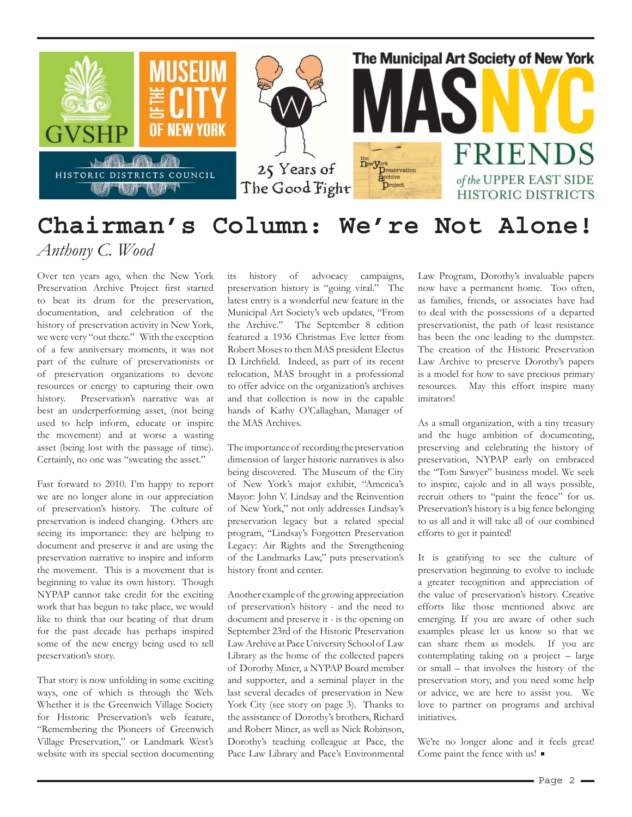

### **Chairman's Column: We're Not Alone!** *Anthony C. Wood*

Over ten years ago, when the New York Preservation Archive Project first started to beat its drum for the preservation, documentation, and celebration of the history of preservation activity in New York, we were very "out there." With the exception of a few anniversary moments, it was not part of the culture of preservationists or of preservation organizations to devote resources or energy to capturing their own history. Preservation's narrative was at best an underperforming asset, (not being used to help inform, educate or inspire the movement) and at worse a wasting asset (being lost with the passage of time). Certainly, no one was "sweating the asset."

Fast forward to 2010. I'm happy to report we are no longer alone in our appreciation of preservation's history. The culture of preservation is indeed changing. Others are seeing its importance: they are helping to document and preserve it and are using the preservation narrative to inspire and inform the movement. This is a movement that is beginning to value its own history. Though NYPAP cannot take credit for the exciting work that has begun to take place, we would like to think that our beating of that drum for the past decade has perhaps inspired some of the new energy being used to tell preservation's story.

That story is now unfolding in some exciting ways, one of which is through the Web. Whether it is the Greenwich Village Society for Historic Preservation's web feature, "Remembering the Pioneers of Greenwich Village Preservation," or Landmark West's website with its special section documenting its history of advocacy campaigns, preservation history is "going viral." The latest entry is a wonderful new feature in the Municipal Art Society's web updates, "From the Archive." The September 8 edition featured a 1936 Christmas Eve letter from Robert Moses to then MAS president Electus D. Litchfield. Indeed, as part of its recent relocation, MAS brought in a professional to offer advice on the organization's archives and that collection is now in the capable hands of Kathy O'Callaghan, Manager of the MAS Archives.

The importance of recording the preservation dimension of larger historic narratives is also being discovered. The Museum of the City of New York's major exhibit, "America's Mayor: John V. Lindsay and the Reinvention of New York," not only addresses Lindsay's preservation legacy but a related special program, "Lindsay's Forgotten Preservation Legacy: Air Rights and the Strengthening of the Landmarks Law," puts preservation's history front and center.

Another example of the growing appreciation of preservation's history - and the need to document and preserve it - is the opening on September 23rd of the Historic Preservation Law Archive at Pace University School of Law Library as the home of the collected papers of Dorothy Miner, a NYPAP Board member and supporter, and a seminal player in the last several decades of preservation in New York City (see story on page 3). Thanks to the assistance of Dorothy's brothers, Richard and Robert Miner, as well as Nick Robinson, Dorothy's teaching colleague at Pace, the Pace Law Library and Pace's Environmental Law Program, Dorothy's invaluable papers now have a permanent home. Too often, as families, friends, or associates have had to deal with the possessions of a departed preservationist, the path of least resistance has been the one leading to the dumpster. The creation of the Historic Preservation Law Archive to preserve Dorothy's papers is a model for how to save precious primary resources. May this effort inspire many imitators!

As a small organization, with a tiny treasury and the huge ambition of documenting, preserving and celebrating the history of preservation, NYPAP early on embraced the "Tom Sawyer" business model. We seek to inspire, cajole and in all ways possible, recruit others to "paint the fence" for us. Preservation's history is a big fence belonging to us all and it will take all of our combined efforts to get it painted!

It is gratifying to see the culture of preservation beginning to evolve to include a greater recognition and appreciation of the value of preservation's history. Creative efforts like those mentioned above are emerging. If you are aware of other such examples please let us know so that we can share them as models. If you are contemplating taking on a project – large or small – that involves the history of the preservation story, and you need some help or advice, we are here to assist you. We love to partner on programs and archival initiatives.

We're no longer alone and it feels great! Come paint the fence with us!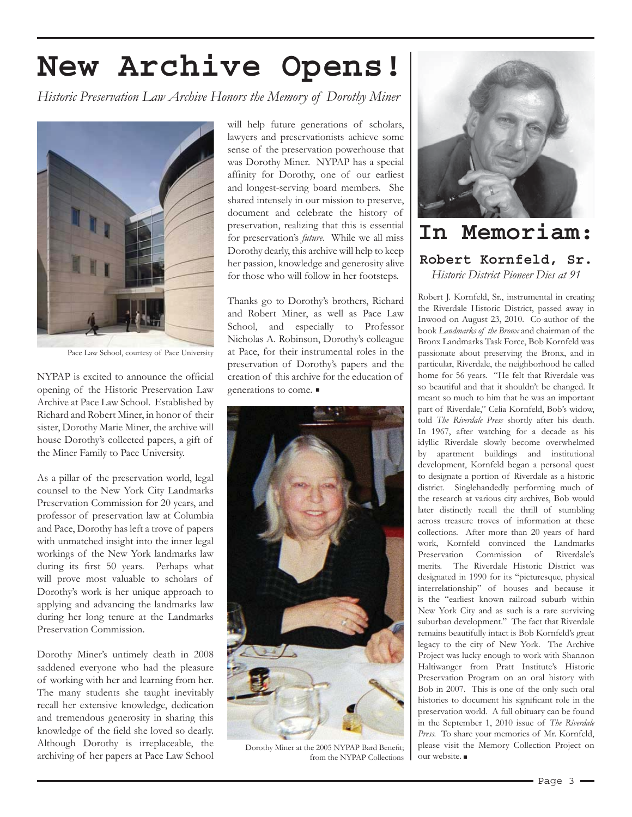## **New Archive Opens!**

*Historic Preservation Law Archive Honors the Memory of Dorothy Miner*



Pace Law School, courtesy of Pace University

NYPAP is excited to announce the official opening of the Historic Preservation Law Archive at Pace Law School. Established by Richard and Robert Miner, in honor of their sister, Dorothy Marie Miner, the archive will house Dorothy's collected papers, a gift of the Miner Family to Pace University.

As a pillar of the preservation world, legal counsel to the New York City Landmarks Preservation Commission for 20 years, and professor of preservation law at Columbia and Pace, Dorothy has left a trove of papers with unmatched insight into the inner legal workings of the New York landmarks law during its first 50 years. Perhaps what will prove most valuable to scholars of Dorothy's work is her unique approach to applying and advancing the landmarks law during her long tenure at the Landmarks Preservation Commission.

Dorothy Miner's untimely death in 2008 saddened everyone who had the pleasure of working with her and learning from her. The many students she taught inevitably recall her extensive knowledge, dedication and tremendous generosity in sharing this knowledge of the field she loved so dearly. Although Dorothy is irreplaceable, the archiving of her papers at Pace Law School

will help future generations of scholars, lawyers and preservationists achieve some sense of the preservation powerhouse that was Dorothy Miner. NYPAP has a special affinity for Dorothy, one of our earliest and longest-serving board members. She shared intensely in our mission to preserve, document and celebrate the history of preservation, realizing that this is essential for preservation's *future*. While we all miss Dorothy dearly, this archive will help to keep her passion, knowledge and generosity alive for those who will follow in her footsteps.

Thanks go to Dorothy's brothers, Richard and Robert Miner, as well as Pace Law School, and especially to Professor Nicholas A. Robinson, Dorothy's colleague at Pace, for their instrumental roles in the preservation of Dorothy's papers and the creation of this archive for the education of generations to come.



Dorothy Miner at the 2005 NYPAP Bard Benefit; from the NYPAP Collections



**In Memoriam: Robert Kornfeld, Sr.** *Historic District Pioneer Dies at 91*

Robert J. Kornfeld, Sr., instrumental in creating the Riverdale Historic District, passed away in Inwood on August 23, 2010. Co-author of the book *Landmarks of the Bronx* and chairman of the Bronx Landmarks Task Force, Bob Kornfeld was passionate about preserving the Bronx, and in particular, Riverdale, the neighborhood he called home for 56 years. "He felt that Riverdale was so beautiful and that it shouldn't be changed. It meant so much to him that he was an important part of Riverdale," Celia Kornfeld, Bob's widow, told *The Riverdale Press* shortly after his death. In 1967, after watching for a decade as his idyllic Riverdale slowly become overwhelmed by apartment buildings and institutional development, Kornfeld began a personal quest to designate a portion of Riverdale as a historic district. Singlehandedly performing much of the research at various city archives, Bob would later distinctly recall the thrill of stumbling across treasure troves of information at these collections. After more than 20 years of hard work, Kornfeld convinced the Landmarks Preservation Commission of Riverdale's merits. The Riverdale Historic District was designated in 1990 for its "picturesque, physical interrelationship" of houses and because it is the "earliest known railroad suburb within New York City and as such is a rare surviving suburban development." The fact that Riverdale remains beautifully intact is Bob Kornfeld's great legacy to the city of New York. The Archive Project was lucky enough to work with Shannon Haltiwanger from Pratt Institute's Historic Preservation Program on an oral history with Bob in 2007. This is one of the only such oral histories to document his significant role in the preservation world. A full obituary can be found in the September 1, 2010 issue of *The Riverdale Press*. To share your memories of Mr. Kornfeld, please visit the Memory Collection Project on our website.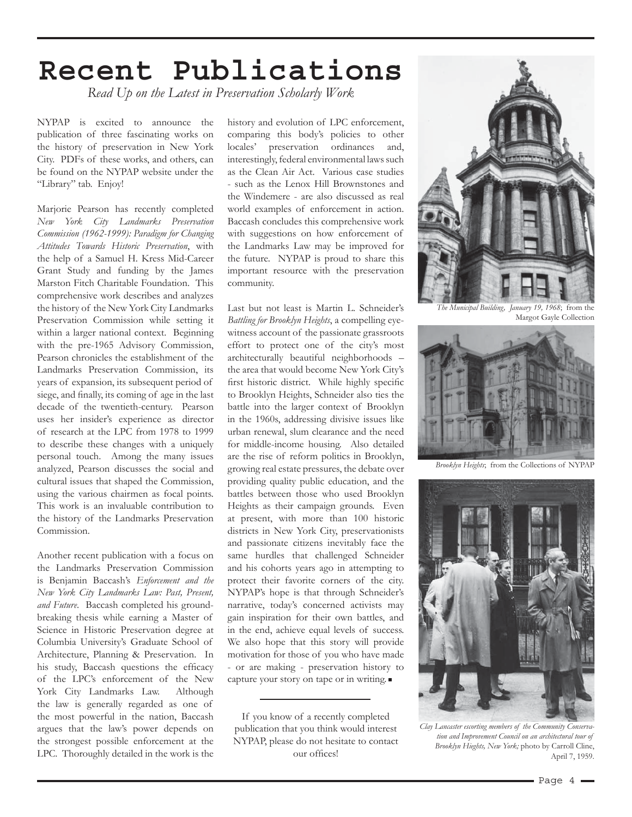## **Recent Publications**

*Read Up on the Latest in Preservation Scholarly Work* 

NYPAP is excited to announce the publication of three fascinating works on the history of preservation in New York City. PDFs of these works, and others, can be found on the NYPAP website under the "Library" tab. Enjoy!

Marjorie Pearson has recently completed *New York City Landmarks Preservation Commission (1962-1999): Paradigm for Changing Attitudes Towards Historic Preservation*, with the help of a Samuel H. Kress Mid-Career Grant Study and funding by the James Marston Fitch Charitable Foundation. This comprehensive work describes and analyzes the history of the New York City Landmarks Preservation Commission while setting it within a larger national context. Beginning with the pre-1965 Advisory Commission, Pearson chronicles the establishment of the Landmarks Preservation Commission, its years of expansion, its subsequent period of siege, and finally, its coming of age in the last decade of the twentieth-century. Pearson uses her insider's experience as director of research at the LPC from 1978 to 1999 to describe these changes with a uniquely personal touch. Among the many issues analyzed, Pearson discusses the social and cultural issues that shaped the Commission, using the various chairmen as focal points. This work is an invaluable contribution to the history of the Landmarks Preservation Commission.

Another recent publication with a focus on the Landmarks Preservation Commission is Benjamin Baccash's *Enforcement and the New York City Landmarks Law: Past, Present, and Future*. Baccash completed his groundbreaking thesis while earning a Master of Science in Historic Preservation degree at Columbia University's Graduate School of Architecture, Planning & Preservation. In his study, Baccash questions the efficacy of the LPC's enforcement of the New York City Landmarks Law. Although the law is generally regarded as one of the most powerful in the nation, Baccash argues that the law's power depends on the strongest possible enforcement at the LPC. Thoroughly detailed in the work is the

history and evolution of LPC enforcement, comparing this body's policies to other locales' preservation ordinances and, interestingly, federal environmental laws such as the Clean Air Act. Various case studies - such as the Lenox Hill Brownstones and the Windemere - are also discussed as real world examples of enforcement in action. Baccash concludes this comprehensive work with suggestions on how enforcement of the Landmarks Law may be improved for the future. NYPAP is proud to share this important resource with the preservation community.

Last but not least is Martin L. Schneider's *Battling for Brooklyn Heights*, a compelling eyewitness account of the passionate grassroots effort to protect one of the city's most architecturally beautiful neighborhoods – the area that would become New York City's first historic district. While highly specific to Brooklyn Heights, Schneider also ties the battle into the larger context of Brooklyn in the 1960s, addressing divisive issues like urban renewal, slum clearance and the need for middle-income housing. Also detailed are the rise of reform politics in Brooklyn, growing real estate pressures, the debate over providing quality public education, and the battles between those who used Brooklyn Heights as their campaign grounds. Even at present, with more than 100 historic districts in New York City, preservationists and passionate citizens inevitably face the same hurdles that challenged Schneider and his cohorts years ago in attempting to protect their favorite corners of the city. NYPAP's hope is that through Schneider's narrative, today's concerned activists may gain inspiration for their own battles, and in the end, achieve equal levels of success. We also hope that this story will provide motivation for those of you who have made - or are making - preservation history to capture your story on tape or in writing.

If you know of a recently completed publication that you think would interest NYPAP, please do not hesitate to contact our offices!



*The Municipal Building, January 19, 1968*; from the Margot Gayle Collection



*Brooklyn Heights*; from the Collections of NYPAP



*Clay Lancaster escorting members of the Community Conservation and Improvement Council on an architectural tour of Brooklyn Hieghts, New York;* photo by Carroll Cline, April 7, 1959.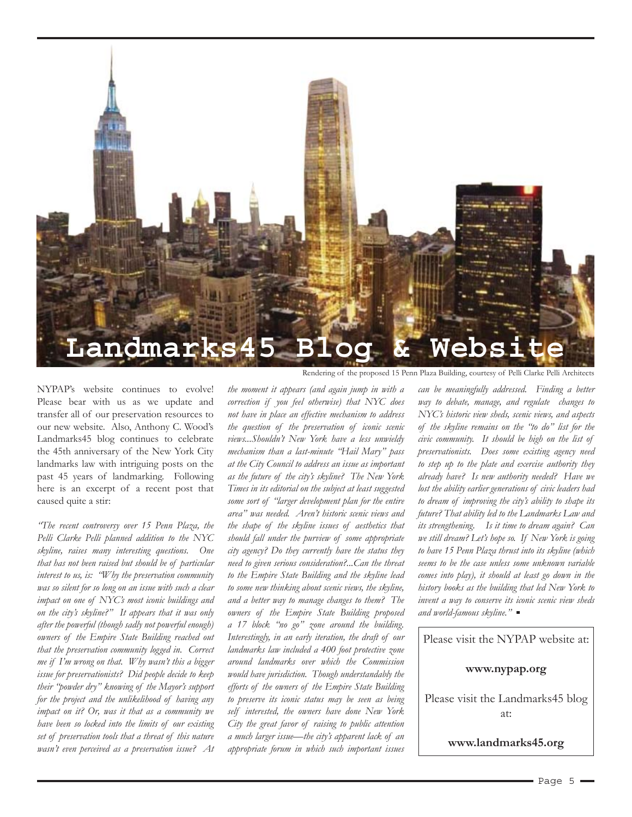

NYPAP's website continues to evolve! Please bear with us as we update and transfer all of our preservation resources to our new website. Also, Anthony C. Wood's Landmarks45 blog continues to celebrate the 45th anniversary of the New York City landmarks law with intriguing posts on the past 45 years of landmarking. Following here is an excerpt of a recent post that caused quite a stir:

*"The recent controversy over 15 Penn Plaza, the Pelli Clarke Pelli planned addition to the NYC skyline, raises many interesting questions. One that has not been raised but should be of particular interest to us, is: "Why the preservation community was so silent for so long on an issue with such a clear impact on one of NYC's most iconic buildings and on the city's skyline?" It appears that it was only after the powerful (though sadly not powerful enough) owners of the Empire State Building reached out that the preservation community logged in. Correct me if I'm wrong on that. Why wasn't this a bigger issue for preservationists? Did people decide to keep their "powder dry" knowing of the Mayor's support for the project and the unlikelihood of having any impact on it? Or, was it that as a community we have been so locked into the limits of our existing set of preservation tools that a threat of this nature wasn't even perceived as a preservation issue? At* 

*the moment it appears (and again jump in with a correction if you feel otherwise) that NYC does not have in place an effective mechanism to address the question of the preservation of iconic scenic views...Shouldn't New York have a less unwieldy mechanism than a last-minute "Hail Mary" pass at the City Council to address an issue as important as the future of the city's skyline? The New York Times in its editorial on the subject at least suggested some sort of "larger development plan for the entire area" was needed. Aren't historic scenic views and the shape of the skyline issues of aesthetics that should fall under the purview of some appropriate city agency? Do they currently have the status they need to given serious consideration?...Can the threat to the Empire State Building and the skyline lead to some new thinking about scenic views, the skyline, and a better way to manage changes to them? The owners of the Empire State Building proposed a 17 block "no go" zone around the building. Interestingly, in an early iteration, the draft of our landmarks law included a 400 foot protective zone around landmarks over which the Commission would have jurisdiction. Though understandably the efforts of the owners of the Empire State Building to preserve its iconic status may be seen as being self interested, the owners have done New York City the great favor of raising to public attention a much larger issue—the city's apparent lack of an appropriate forum in which such important issues* 

*can be meaningfully addressed. Finding a better way to debate, manage, and regulate changes to NYC's historic view sheds, scenic views, and aspects of the skyline remains on the "to do" list for the civic community. It should be high on the list of preservationists. Does some existing agency need to step up to the plate and exercise authority they already have? Is new authority needed? Have we lost the ability earlier generations of civic leaders had to dream of improving the city's ability to shape its future? That ability led to the Landmarks Law and its strengthening. Is it time to dream again? Can we still dream? Let's hope so. If New York is going to have 15 Penn Plaza thrust into its skyline (which seems to be the case unless some unknown variable comes into play), it should at least go down in the history books as the building that led New York to invent a way to conserve its iconic scenic view sheds and world-famous skyline."* 

Please visit the NYPAP website at:

**www.nypap.org**

Please visit the Landmarks45 blog at:

**www.landmarks45.org**